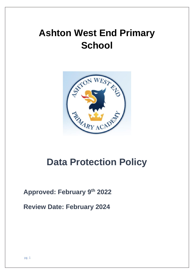# **Ashton West End Primary School**



# **Data Protection Policy**

# **Approved: February 9 th 2022**

**Review Date: February 2024**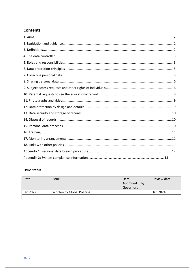### **Contents**

#### **Issue Status**

| Date     | <i><b>Issue</b></i>        | Date<br>Approved<br>by<br>Governors | Review date |
|----------|----------------------------|-------------------------------------|-------------|
| Jan 2022 | Written by Global Policing |                                     | Jan 2024    |
|          |                            |                                     |             |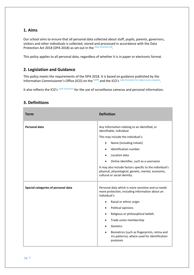#### **1. Aims**

Our school aims to ensure that all personal data collected about staff, pupils, parents, governors, visitors and other individuals is collected, stored and processed in accordance with the Data Protection Act 2018 (DPA 2018) as set out in the [Data Protection Bill](https://publications.parliament.uk/pa/bills/cbill/2017-2019/0153/18153.pdf).

This policy applies to all personal data, regardless of whether it is in paper or electronic format.

#### **2. Legislation and Guidance**

This policy meets the requirements of the DPA 2018. It is based on guidance published by the Information Commissioner's Office (ICO) on the [GDPR](https://ico.org.uk/for-organisations/guide-to-the-general-data-protection-regulation-gdpr/individual-rights/right-to-be-informed/) and the ICO's code of practice for [subject access requests](https://ico.org.uk/media/for-organisations/documents/2014223/subject-access-code-of-practice.pdf)

It also reflects the ICO's [code of practice](https://ico.org.uk/media/for-organisations/documents/1542/cctv-code-of-practice.pdf) for the use of surveillance cameras and personal information.

#### **3. Definitions**

| Term                                | <b>Definition</b>                                                                                                                                                                                                                                                                                                                                                                                                                      |
|-------------------------------------|----------------------------------------------------------------------------------------------------------------------------------------------------------------------------------------------------------------------------------------------------------------------------------------------------------------------------------------------------------------------------------------------------------------------------------------|
| Personal data                       | Any information relating to an identified, or<br>identifiable, individual.<br>This may include the individual's:<br>Name (including initials)<br>٠<br>Identification number<br>$\bullet$<br>Location data<br>$\bullet$<br>Online identifier, such as a username<br>٠<br>It may also include factors specific to the individual's<br>physical, physiological, genetic, mental, economic,<br>cultural or social identity.                |
| Special categories of personal data | Personal data which is more sensitive and so needs<br>more protection, including information about an<br>individual's:<br>Racial or ethnic origin<br>$\bullet$<br>Political opinions<br>٠<br>Religious or philosophical beliefs<br>$\bullet$<br>Trade union membership<br>$\bullet$<br>Genetics<br>$\bullet$<br>Biometrics (such as fingerprints, retina and<br>$\bullet$<br>iris patterns), where used for identification<br>purposes |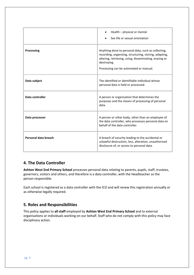|                      | Health - physical or mental<br>Sex life or sexual orientation                                                                                                                                                                    |
|----------------------|----------------------------------------------------------------------------------------------------------------------------------------------------------------------------------------------------------------------------------|
| <b>Processing</b>    | Anything done to personal data, such as collecting,<br>recording, organising, structuring, storing, adapting,<br>altering, retrieving, using, disseminating, erasing or<br>destroying.<br>Processing can be automated or manual. |
| Data subject         | The identified or identifiable individual whose<br>personal data is held or processed.                                                                                                                                           |
| Data controller      | A person or organisation that determines the<br>purposes and the means of processing of personal<br>data.                                                                                                                        |
| Data processor       | A person or other body, other than an employee of<br>the data controller, who processes personal data on<br>behalf of the data controller.                                                                                       |
| Personal data breach | A breach of security leading to the accidental or<br>unlawful destruction, loss, alteration, unauthorised<br>disclosure of, or access to personal data.                                                                          |

#### **4. The Data Controller**

**Ashton West End Primary School** processes personal data relating to parents, pupils, staff, trustees, governors, visitors and others, and therefore is a data controller, with the Headteacher as the person responsible.

Each school is registered as a data controller with the ICO and will renew this registration annually or as otherwise legally required.

### **5. Roles and Responsibilities**

This policy applies to **all staff** employed by **Ashton West End Primary School** and to external organisations or individuals working on our behalf. Staff who do not comply with this policy may face disciplinary action.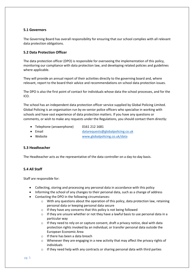#### **5.1 Governors**

The Governing Board has overall responsibility for ensuring that our school complies with all relevant data protection obligations.

#### **5.2 Data Protection Officer**

The data protection officer (DPO) is responsible for overseeing the implementation of this policy, monitoring our compliance with data protection law, and developing related policies and guidelines where applicable.

They will provide an annual report of their activities directly to the governing board and, where relevant, report to the board their advice and recommendations on school data protection issues.

The DPO is also the first point of contact for individuals whose data the school processes, and for the ICO.

The school has an independent data protection officer service supplied by Global Policing Limited. Global Policing is an organisation run by ex-senior police officers who specialise in working with schools and have vast experience of data protection matters. If you have any questions or comments, or wish to make any requests under the Regulations, you should contact them directly:

- Telephone (answerphone) 0161 212 1681
- 
- 

• Email [datarequests@globalpolicing.co.uk](mailto:datarequests@globalpolicing.co.uk) • Website [www.globalpolicing.co.uk/data](http://www.globalpolicing.co.uk/data)

#### **5.3 Headteacher**

The Headteacher acts as the representative of the data controller on a day-to-day basis.

#### **5.4 All Staff**

Staff are responsible for:

- Collecting, storing and processing any personal data in accordance with this policy
- Informing the school of any changes to their personal data, such as a change of address
- Contacting the DPO in the following circumstances:
	- $\circ$  With any questions about the operation of this policy, data protection law, retaining personal data or keeping personal data secure
	- $\circ$  If they have any concerns that this policy is not being followed
	- $\circ$  If they are unsure whether or not they have a lawful basis to use personal data in a particular way
	- o If they need to rely on or capture consent, draft a privacy notice, deal with data protection rights invoked by an individual, or transfer personal data outside the European Economic Area
	- o If there has been a data breach
	- $\circ$  Whenever they are engaging in a new activity that may affect the privacy rights of individuals
	- o If they need help with any contracts or sharing personal data with third parties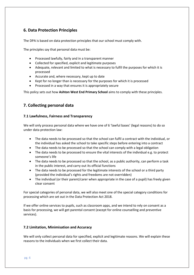#### **6. Data Protection Principles**

The DPA is based on data protection principles that our school must comply with.

The principles say that personal data must be:

- Processed lawfully, fairly and in a transparent manner
- Collected for specified, explicit and legitimate purposes
- Adequate, relevant and limited to what is necessary to fulfil the purposes for which it is processed
- Accurate and, where necessary, kept up to date
- Kept for no longer than is necessary for the purposes for which it is processed
- Processed in a way that ensures it is appropriately secure

This policy sets out how **Ashton West End Primary School** aims to comply with these principles.

#### **7. Collecting personal data**

#### **7.1 Lawfulness, Fairness and Transparency**

We will only process personal data where we have one of 6 'lawful bases' (legal reasons) to do so under data protection law:

- The data needs to be processed so that the school can fulfil a contract with the individual, or the individual has asked the school to take specific steps before entering into a contract
- The data needs to be processed so that the school can comply with a legal obligation
- The data needs to be processed to ensure the vital interests of the individual e.g. to protect someone's life
- The data needs to be processed so that the school, as a public authority, can perform a task in the public interest, and carry out its official functions
- The data needs to be processed for the legitimate interests of the school or a third party (provided the individual's rights and freedoms are not overridden)
- The individual (or their parent/carer when appropriate in the case of a pupil) has freely given clear consent

For special categories of personal data, we will also meet one of the special category conditions for processing which are set out in the Data Protection Act 2018.

If we offer online services to pupils, such as classroom apps, and we intend to rely on consent as a basis for processing, we will get parental consent (except for online counselling and preventive services).

#### **7.2 Limitation, Minimisation and Accuracy**

We will only collect personal data for specified, explicit and legitimate reasons. We will explain these reasons to the individuals when we first collect their data.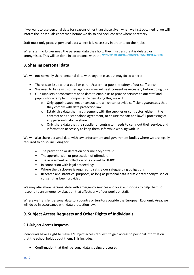If we want to use personal data for reasons other than those given when we first obtained it, we will inform the individuals concerned before we do so and seek consent where necessary.

Staff must only process personal data where it is necessary in order to do their jobs.

When staff no longer need the personal data they hold, they must ensure it is deleted or anonymised. This will be done in accordance with the *Information and Records Mana[gement Society's toolkit for schools](http://irms.org.uk/?page=schoolstoolkit&terms=%22toolkit+and+schools%22)*

#### **8. Sharing personal data**

We will not normally share personal data with anyone else, but may do so where:

- There is an issue with a pupil or parent/carer that puts the safety of our staff at risk
- We need to liaise with other agencies we will seek consent as necessary before doing this
- Our suppliers or contractors need data to enable us to provide services to our staff and pupils – for example, IT companies. When doing this, we will:
	- $\circ$  Only appoint suppliers or contractors which can provide sufficient guarantees that they comply with data protection law
	- $\circ$  Establish a data sharing agreement with the supplier or contractor, either in the contract or as a standalone agreement, to ensure the fair and lawful processing of any personal data we share
	- o Only share data that the supplier or contractor needs to carry out their service, and information necessary to keep them safe while working with us

We will also share personal data with law enforcement and government bodies where we are legally required to do so, including for:

- The prevention or detection of crime and/or fraud
- The apprehension or prosecution of offenders
- The assessment or collection of tax owed to HMRC
- In connection with legal proceedings
- Where the disclosure is required to satisfy our safeguarding obligations
- Research and statistical purposes, as long as personal data is sufficiently anonymised or consent has been provided

We may also share personal data with emergency services and local authorities to help them to respond to an emergency situation that affects any of our pupils or staff.

Where we transfer personal data to a country or territory outside the European Economic Area, we will do so in accordance with data protection law.

#### **9. Subject Access Requests and Other Rights of Individuals**

#### **9.1 Subject Access Requests**

Individuals have a right to make a 'subject access request' to gain access to personal information that the school holds about them. This includes:

• Confirmation that their personal data is being processed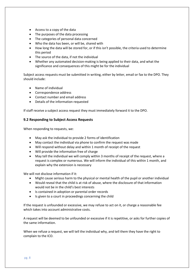- Access to a copy of the data
- The purposes of the data processing
- The categories of personal data concerned
- Who the data has been, or will be, shared with
- How long the data will be stored for, or if this isn't possible, the criteria used to determine this period
- The source of the data, if not the individual
- Whether any automated decision-making is being applied to their data, and what the significance and consequences of this might be for the individual

Subject access requests must be submitted in writing, either by letter, email or fax to the DPO. They should include:

- Name of individual
- Correspondence address
- Contact number and email address
- Details of the information requested

If staff receive a subject access request they must immediately forward it to the DPO.

#### **9.2 Responding to Subject Access Requests**

When responding to requests, we:

- May ask the individual to provide 2 forms of identification
- May contact the individual via phone to confirm the request was made
- Will respond without delay and within 1 month of receipt of the request
- Will provide the information free of charge
- May tell the individual we will comply within 3 months of receipt of the request, where a request is complex or numerous. We will inform the individual of this within 1 month, and explain why the extension is necessary

We will not disclose information if it:

- Might cause serious harm to the physical or mental health of the pupil or another individual
- Would reveal that the child is at risk of abuse, where the disclosure of that information would not be in the child's best interests
- Is contained in adoption or parental order records
- Is given to a court in proceedings concerning the child

If the request is unfounded or excessive, we may refuse to act on it, or charge a reasonable fee which takes into account administrative costs.

A request will be deemed to be unfounded or excessive if it is repetitive, or asks for further copies of the same information.

When we refuse a request, we will tell the individual why, and tell them they have the right to complain to the ICO.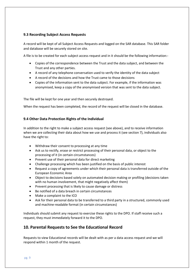#### **9.3 Recording Subject Access Requests**

A record will be kept of all Subject Access Requests and logged on the SAR database. This SAR folder and database will be securely stored on site.

A file is to be created for each subject access request and in it should be the following information:-

- Copies of the correspondence between the Trust and the data subject, and between the Trust and any other parties.
- A record of any telephone conversation used to verify the identity of the data subject
- A record of the decisions and how the Trust came to those decisions
- Copies of the information sent to the data subject. For example, if the information was anonymised, keep a copy of the anonymised version that was sent to the data subject.

The file will be kept for one year and then securely destroyed.

When the request has been completed, the record of the request will be closed in the database.

#### **9.4 Other Data Protection Rights of the Individual**

In addition to the right to make a subject access request (see above), and to receive information when we are collecting their data about how we use and process it (see section 7), individuals also have the right to:

- Withdraw their consent to processing at any time
- Ask us to rectify, erase or restrict processing of their personal data, or object to the processing of it (in certain circumstances)
- Prevent use of their personal data for direct marketing
- Challenge processing which has been justified on the basis of public interest
- Request a copy of agreements under which their personal data is transferred outside of the European Economic Area
- Object to decisions based solely on automated decision making or profiling (decisions taken with no human involvement, that might negatively affect them)
- Prevent processing that is likely to cause damage or distress
- Be notified of a data breach in certain circumstances
- Make a complaint to the ICO
- Ask for their personal data to be transferred to a third party in a structured, commonly used and machine-readable format (in certain circumstances)

Individuals should submit any request to exercise these rights to the DPO. If staff receive such a request, they must immediately forward it to the DPO.

#### **10. Parental Requests to See the Educational Record**

Requests to view Educational records will be dealt with as per a data access request and we will respond within 1 month of the request.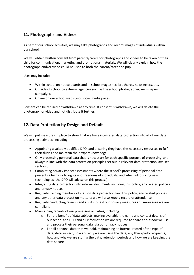#### **11. Photographs and Videos**

As part of our school activities, we may take photographs and record images of individuals within our school.

We will obtain written consent from parents/carers for photographs and videos to be taken of their child for communication, marketing and promotional materials. We will clearly explain how the photograph and/or video could be used to both the parent/carer and pupil.

Uses may include:

- Within school on notice boards and in school magazines, brochures, newsletters, etc.
- Outside of school by external agencies such as the school photographer, newspapers, campaigns
- Online on our school website or social media pages

Consent can be refused or withdrawn at any time. If consent is withdrawn, we will delete the photograph or video and not distribute it further.

#### **12. Data Protection by Design and Default**

We will put measures in place to show that we have integrated data protection into all of our data processing activities, including:

- Appointing a suitably qualified DPO, and ensuring they have the necessary resources to fulfil their duties and maintain their expert knowledge
- Only processing personal data that is necessary for each specific purpose of processing, and always in line with the data protection principles set out in relevant data protection law (see section 6)
- Completing privacy impact assessments where the school's processing of personal data presents a high risk to rights and freedoms of individuals, and when introducing new technologies (the DPO will advise on this process)
- Integrating data protection into internal documents including this policy, any related policies and privacy notices
- Regularly training members of staff on data protection law, this policy, any related policies and any other data protection matters; we will also keep a record of attendance
- Regularly conducting reviews and audits to test our privacy measures and make sure we are compliant
- Maintaining records of our processing activities, including:
	- $\circ$  For the benefit of data subjects, making available the name and contact details of our school and DPO and all information we are required to share about how we use and process their personal data (via our privacy notices)
	- $\circ$  For all personal data that we hold, maintaining an internal record of the type of data, data subject, how and why we are using the data, any third-party recipients, how and why we are storing the data, retention periods and how we are keeping the data secure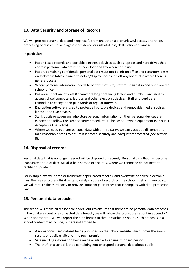#### **13. Data Security and Storage of Records**

We will protect personal data and keep it safe from unauthorised or unlawful access, alteration, processing or disclosure, and against accidental or unlawful loss, destruction or damage.

In particular:

- Paper-based records and portable electronic devices, such as laptops and hard drives that contain personal data are kept under lock and key when not in use
- Papers containing confidential personal data must not be left on office and classroom desks, on staffroom tables, pinned to notice/display boards, or left anywhere else where there is general access
- Where personal information needs to be taken off site, staff must sign it in and out from the school office
- Passwords that are at least 8 characters long containing letters and numbers are used to access school computers, laptops and other electronic devices. Staff and pupils are reminded to change their passwords at regular intervals
- Encryption software is used to protect all portable devices and removable media, such as laptops and USB devices
- Staff, pupils or governors who store personal information on their personal devices are expected to follow the same security procedures as for school-owned equipment (see our IT Acceptable Use Policy)
- Where we need to share personal data with a third party, we carry out due diligence and take reasonable steps to ensure it is stored securely and adequately protected (see section 8).

#### **14. Disposal of records**

Personal data that is no longer needed will be disposed of securely. Personal data that has become inaccurate or out of date will also be disposed of securely, where we cannot or do not need to rectify or update it.

For example, we will shred or incinerate paper-based records, and overwrite or delete electronic files. We may also use a third party to safely dispose of records on the school's behalf. If we do so, we will require the third party to provide sufficient guarantees that it complies with data protection law.

#### **15. Personal data breaches**

The school will make all reasonable endeavours to ensure that there are no personal data breaches. In the unlikely event of a suspected data breach, we will follow the procedure set out in appendix 1. When appropriate, we will report the data breach to the ICO within 72 hours. Such breaches in a school context may include, but are not limited to:

- A non-anonymised dataset being published on the school website which shows the exam results of pupils eligible for the pupil premium
- Safeguarding information being made available to an unauthorised person
- The theft of a school laptop containing non-encrypted personal data about pupils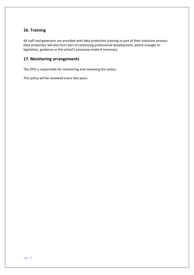#### **16. Training**

All staff and governors are provided with data protection training as part of their induction process. Data protection will also form part of continuing professional development, where changes to legislation, guidance or the school's processes make it necessary.

#### **17. Monitoring arrangements**

The DPO is responsible for monitoring and reviewing this policy.

This policy will be reviewed every two years.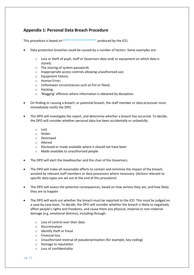#### **Appendix 1: Personal Data Breach Procedure**

This procedure is based on [guidance on personal data breaches](https://ico.org.uk/for-organisations/guide-to-the-general-data-protection-regulation-gdpr/personal-data-breaches/) produced by the ICO.

- Data protection breaches could be caused by a number of factors. Some examples are:
	- o Loss or theft of pupil, staff or Governors data and/ or equipment on which data is stored;
	- o The sharing of system passwords
	- o Inappropriate access controls allowing unauthorised use;
	- o Equipment Failure;
	- o Human Error;
	- o Unforeseen circumstances such as fire or flood;
	- o Hacking;
	- o 'Blagging' offences where information is obtained by deception.
- On finding or causing a breach, or potential breach, the staff member or data processor must immediately notify the DPO.
- The DPO will investigate the report, and determine whether a breach has occurred. To decide, the DPO will consider whether personal data has been accidentally or unlawfully:
	- o Lost
	- o Stolen
	- o Destroyed
	- o Altered
	- o Disclosed or made available where it should not have been
	- o Made available to unauthorised people
- The DPO will alert the Headteacher and the chair of the Governors.
- The DPO will make all reasonable efforts to contain and minimise the impact of the breach, assisted by relevant staff members or data processors where necessary. (Actions relevant to specific data types are set out at the end of this procedure)
- The DPO will assess the potential consequences, based on how serious they are, and how likely they are to happen
- The DPO will work out whether the breach must be reported to the ICO. This must be judged on a case-by-case basis. To decide, the DPO will consider whether the breach is likely to negatively affect people's rights and freedoms, and cause them any physical, material or non-material damage (e.g. emotional distress), including through:
	- o Loss of control over their data
	- o Discrimination
	- o Identify theft or fraud
	- o Financial loss
	- o Unauthorised reversal of pseudonymisation (for example, key-coding)
	- o Damage to reputation
	- o Loss of confidentiality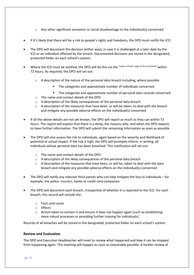- $\circ$  Any other significant economic or social disadvantage to the individual(s) concerned
- If it's likely that there will be a risk to people's rights and freedoms, the DPO must notify the ICO
- The DPO will document the decision (either way), in case it is challenged at a later date by the ICO or an individual affected by the breach. Documented decisions are stored in the designated, protected folder on each school's system.
- Where the ICO must be notified, the DPO will do this via the ['report a breach' p](https://ico.org.uk/for-organisations/report-a-breach/)age of the ICO website within 72 hours. As required, the DPO will set out:
	- o A description of the nature of the personal data breach including, where possible:
		- The categories and approximate number of individuals concerned
		- **■** The categories and approximate number of personal data records concerned
	- o The name and contact details of the DPO
	- o A description of the likely consequences of the personal data breach
	- $\circ$  A description of the measures that have been, or will be taken, to deal with the breach and mitigate any possible adverse effects on the individual(s) concerned
- If all the above details are not yet known, the DPO will report as much as they can within 72 hours. The report will explain that there is a delay, the reasons why, and when the DPO expects to have further information. The DPO will submit the remaining information as soon as possible
- The DPO will also assess the risk to individuals, again based on the severity and likelihood of potential or actual impact. If the risk is high, the DPO will promptly inform, in writing, all individuals whose personal data has been breached. This notification will set out:
	- o The name and contact details of the DPO
	- o A description of the likely consequences of the personal data breach
	- $\circ$  A description of the measures that have been, or will be, taken to deal with the data breach and mitigate any possible adverse effects on the individual(s) concerned
- The DPO will notify any relevant third parties who can help mitigate the loss to individuals for example, the police, insurers, banks or credit card companies
- The DPO will document each breach, irrespective of whether it is reported to the ICO. For each breach, this record will include the:
	- o Facts and cause
	- o Effects
	- $\circ$  Action taken to contain it and ensure it does not happen again (such as establishing more robust processes or providing further training for individuals)

Records of all breaches will be stored in the designated, protected folder on each school's system.

#### **Review and Evaluation**

The DPO and Executive Headteacher will meet to review what happened and how it can be stopped from happening again. This meeting will happen as soon as reasonably possible. A further review of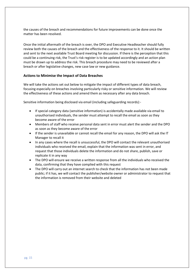the causes of the breach and recommendations for future improvements can be done once the matter has been resolved.

Once the initial aftermath of the breach is over, the DPO and Executive Headteacher should fully review both the causes of the breach and the effectiveness of the response to it. It should be written and sent to the next available Trust Board meeting for discussion. If there is the perception that this could be a continuing risk, the Trust's risk register is to be updated accordingly and an action plan must be drawn up to address the risk. This breach procedure may need to be reviewed after a breach or after legislative changes, new case law or new guidance.

#### **Actions to Minimise the Impact of Data Breaches**

We will take the actions set out below to mitigate the impact of different types of data breach, focusing especially on breaches involving particularly risky or sensitive information. We will review the effectiveness of these actions and amend them as necessary after any data breach.

Sensitive information being disclosed via email (including safeguarding records):-

- If special category data (sensitive information) is accidentally made available via email to unauthorised individuals, the sender must attempt to recall the email as soon as they become aware of the error
- Members of staff who receive personal data sent in error must alert the sender and the DPO as soon as they become aware of the error
- If the sender is unavailable or cannot recall the email for any reason, the DPO will ask the IT Manager to recall it
- In any cases where the recall is unsuccessful, the DPO will contact the relevant unauthorised individuals who received the email, explain that the information was sent in error, and request that those individuals delete the information and do not share, publish, save or replicate it in any way
- The DPO will ensure we receive a written response from all the individuals who received the data, confirming that they have complied with this request
- The DPO will carry out an internet search to check that the information has not been made public; if it has, we will contact the publisher/website owner or administrator to request that the information is removed from their website and deleted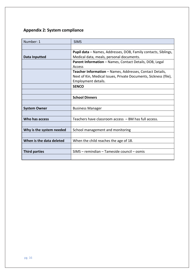## **Appendix 2: System compliance**

| Number: 1                | <b>SIMS</b>                                                           |
|--------------------------|-----------------------------------------------------------------------|
|                          |                                                                       |
|                          | <b>Pupil data</b> – Names, Addresses, DOB, Family contacts, Siblings, |
| Data Inputted            | Medical data, meals, personal documents.                              |
|                          | Parent Information - Names, Contact Details, DOB, Legal               |
|                          | Access                                                                |
|                          | Teacher Information - Names, Addresses, Contact Details,              |
|                          | Next of Kin, Medical Issues, Private Documents, Sickness (file),      |
|                          | Employment details.                                                   |
|                          | <b>SENCO</b>                                                          |
|                          |                                                                       |
|                          | <b>School Dinners</b>                                                 |
|                          |                                                                       |
| <b>System Owner</b>      | <b>Business Manager</b>                                               |
|                          |                                                                       |
| Who has access           | Teachers have classroom access - BM has full access.                  |
|                          |                                                                       |
| Why is the system needed | School management and monitoring                                      |
|                          |                                                                       |
| When is the data deleted | When the child reaches the age of 18.                                 |
|                          |                                                                       |
| <b>Third parties</b>     | SIMS - remindian - Tameside council - osmis                           |
|                          |                                                                       |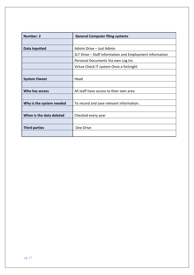| <b>Number: 2</b>         | <b>General Computer filing systems</b>                   |
|--------------------------|----------------------------------------------------------|
|                          |                                                          |
| Data Inputted            | Admin Drive - Just Admin                                 |
|                          | SLT Drive – Staff Information and Employment information |
|                          | Personal Documents Via own Log Ins                       |
|                          | Virtue Check IT system Once a fortnight                  |
|                          |                                                          |
| <b>System Owner</b>      | Head                                                     |
|                          |                                                          |
| Who has access           | All staff have access to their own area                  |
|                          |                                                          |
| Why is the system needed | To record and save relevant information.                 |
|                          |                                                          |
| When is the data deleted | Checked every year                                       |
|                          |                                                          |
| <b>Third parties</b>     | One Drive                                                |
|                          |                                                          |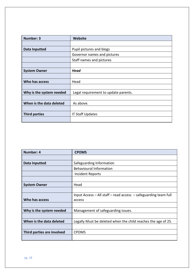| <b>Number: 3</b>         | <b>Website</b>                       |
|--------------------------|--------------------------------------|
|                          |                                      |
| <b>Data Inputted</b>     | Pupil pictures and blogs             |
|                          | Governor names and pictures          |
|                          | Staff names and pictures             |
|                          |                                      |
| <b>System Owner</b>      | <b>Head</b>                          |
|                          |                                      |
| Who has access           | Head                                 |
|                          |                                      |
| Why is the system needed | Legal requirement to update parents. |
|                          |                                      |
| When is the data deleted | As above.                            |
|                          |                                      |
| <b>Third parties</b>     | <b>IT Staff Updates</b>              |
|                          |                                      |

| Number: 4                  | <b>CPOMS</b>                                                    |
|----------------------------|-----------------------------------------------------------------|
|                            |                                                                 |
| Data Inputted              | Safeguarding Information                                        |
|                            | <b>Behavioural Information</b>                                  |
|                            | Incident Reports                                                |
|                            |                                                                 |
| <b>System Owner</b>        | Head                                                            |
|                            |                                                                 |
|                            | Input Access - All staff - read access - safeguarding team full |
| Who has access             | access                                                          |
|                            |                                                                 |
| Why is the system needed   | Management of safeguarding issues.                              |
|                            |                                                                 |
| When is the data deleted   | Legally Must be deleted when the child reaches the age of 25.   |
|                            |                                                                 |
| Third parties are involved | <b>CPOMS</b>                                                    |
|                            |                                                                 |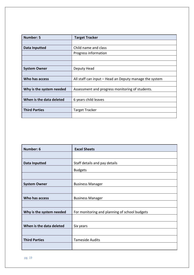| <b>Number: 5</b>         | <b>Target Tracker</b>                                  |
|--------------------------|--------------------------------------------------------|
|                          |                                                        |
| <b>Data Inputted</b>     | Child name and class                                   |
|                          | Progress information                                   |
|                          |                                                        |
|                          |                                                        |
| <b>System Owner</b>      | Deputy Head                                            |
|                          |                                                        |
| Who has access           | All staff can input – Head an Deputy manage the system |
|                          |                                                        |
| Why is the system needed | Assessment and progress monitoring of students.        |
|                          |                                                        |
| When is the data deleted | 6 years child leaves                                   |
|                          |                                                        |
| <b>Third Parties</b>     | <b>Target Tracker</b>                                  |
|                          |                                                        |

| Number: 6                | <b>Excel Sheets</b>                           |
|--------------------------|-----------------------------------------------|
|                          |                                               |
| <b>Data Inputted</b>     | Staff details and pay details                 |
|                          | <b>Budgets</b>                                |
|                          |                                               |
| <b>System Owner</b>      | <b>Business Manager</b>                       |
|                          |                                               |
| Who has access           | <b>Business Manager</b>                       |
|                          |                                               |
| Why is the system needed | For monitoring and planning of school budgets |
|                          |                                               |
| When is the data deleted | Six years                                     |
|                          |                                               |
| <b>Third Parties</b>     | <b>Tameside Audits</b>                        |
|                          |                                               |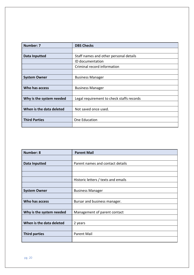| <b>Number: 7</b>         | <b>DBS Checks</b>                         |
|--------------------------|-------------------------------------------|
|                          |                                           |
| <b>Data Inputted</b>     | Staff names and other personal details    |
|                          | ID documentation                          |
|                          | Criminal record information               |
|                          |                                           |
| <b>System Owner</b>      | <b>Business Manager</b>                   |
|                          |                                           |
| Who has access           | <b>Business Manager</b>                   |
|                          |                                           |
| Why is the system needed | Legal requirement to check staffs records |
|                          |                                           |
| When is the data deleted | Not saved once used.                      |
|                          |                                           |
| <b>Third Parties</b>     | One Education                             |
|                          |                                           |

| <b>Number: 8</b>         | <b>Parent Mail</b>                  |
|--------------------------|-------------------------------------|
|                          |                                     |
| <b>Data Inputted</b>     | Parent names and contact details    |
|                          |                                     |
|                          |                                     |
|                          | Historic letters / texts and emails |
|                          |                                     |
| <b>System Owner</b>      | <b>Business Manager</b>             |
|                          |                                     |
| Who has access           | Bursar and business manager.        |
|                          |                                     |
| Why is the system needed | Management of parent contact        |
|                          |                                     |
| When is the data deleted | 2 years                             |
|                          |                                     |
| <b>Third parties</b>     | <b>Parent Mail</b>                  |
|                          |                                     |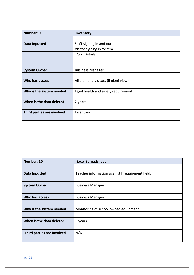| <b>Number: 9</b>           | Inventory                             |
|----------------------------|---------------------------------------|
|                            |                                       |
| <b>Data Inputted</b>       | Staff Signing in and out              |
|                            | Visitor signing in system             |
|                            | <b>Pupil Details</b>                  |
|                            |                                       |
|                            |                                       |
| <b>System Owner</b>        | <b>Business Manager</b>               |
|                            |                                       |
| Who has access             | All staff and visitors (limited view) |
|                            |                                       |
| Why is the system needed   | Legal health and safety requirement   |
|                            |                                       |
| When is the data deleted   | 2 years                               |
|                            |                                       |
| Third parties are involved | Inventory                             |
|                            |                                       |

| Number: 10                 | <b>Excel Spreadsheet</b>                       |  |  |
|----------------------------|------------------------------------------------|--|--|
|                            |                                                |  |  |
| Data Inputted              | Teacher information against IT equipment held. |  |  |
|                            |                                                |  |  |
| <b>System Owner</b>        | <b>Business Manager</b>                        |  |  |
|                            |                                                |  |  |
| Who has access             | <b>Business Manager</b>                        |  |  |
|                            |                                                |  |  |
| Why is the system needed   | Monitoring of school owned equipment.          |  |  |
|                            |                                                |  |  |
| When is the data deleted   | 6 years                                        |  |  |
|                            |                                                |  |  |
| Third parties are involved | N/A                                            |  |  |
|                            |                                                |  |  |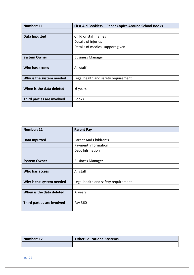| Number: 11                 | First Aid Booklets - Paper Copies Around School Books |
|----------------------------|-------------------------------------------------------|
|                            |                                                       |
| Data Inputted              | Child or staff names                                  |
|                            | Details of injuries                                   |
|                            | Details of medical support given                      |
|                            |                                                       |
| <b>System Owner</b>        | <b>Business Manager</b>                               |
|                            |                                                       |
| Who has access             | All staff                                             |
|                            |                                                       |
| Why is the system needed   | Legal health and safety requirement                   |
|                            |                                                       |
| When is the data deleted   | 6 years                                               |
|                            |                                                       |
| Third parties are involved | <b>Books</b>                                          |
|                            |                                                       |

| Number: 11                 | <b>Parent Pay</b>                   |  |  |
|----------------------------|-------------------------------------|--|--|
|                            |                                     |  |  |
| <b>Data Inputted</b>       | Parent And Children's               |  |  |
|                            | Payment Information                 |  |  |
|                            | Debt Infrmation                     |  |  |
|                            |                                     |  |  |
| <b>System Owner</b>        | <b>Business Manager</b>             |  |  |
|                            |                                     |  |  |
| Who has access             | All staff                           |  |  |
|                            |                                     |  |  |
| Why is the system needed   | Legal health and safety requirement |  |  |
|                            |                                     |  |  |
| When is the data deleted   | 6 years                             |  |  |
|                            |                                     |  |  |
| Third parties are involved | Pay 360                             |  |  |
|                            |                                     |  |  |

| Number: 12 | <b>Other Educational Systems</b> |  |
|------------|----------------------------------|--|
|            |                                  |  |